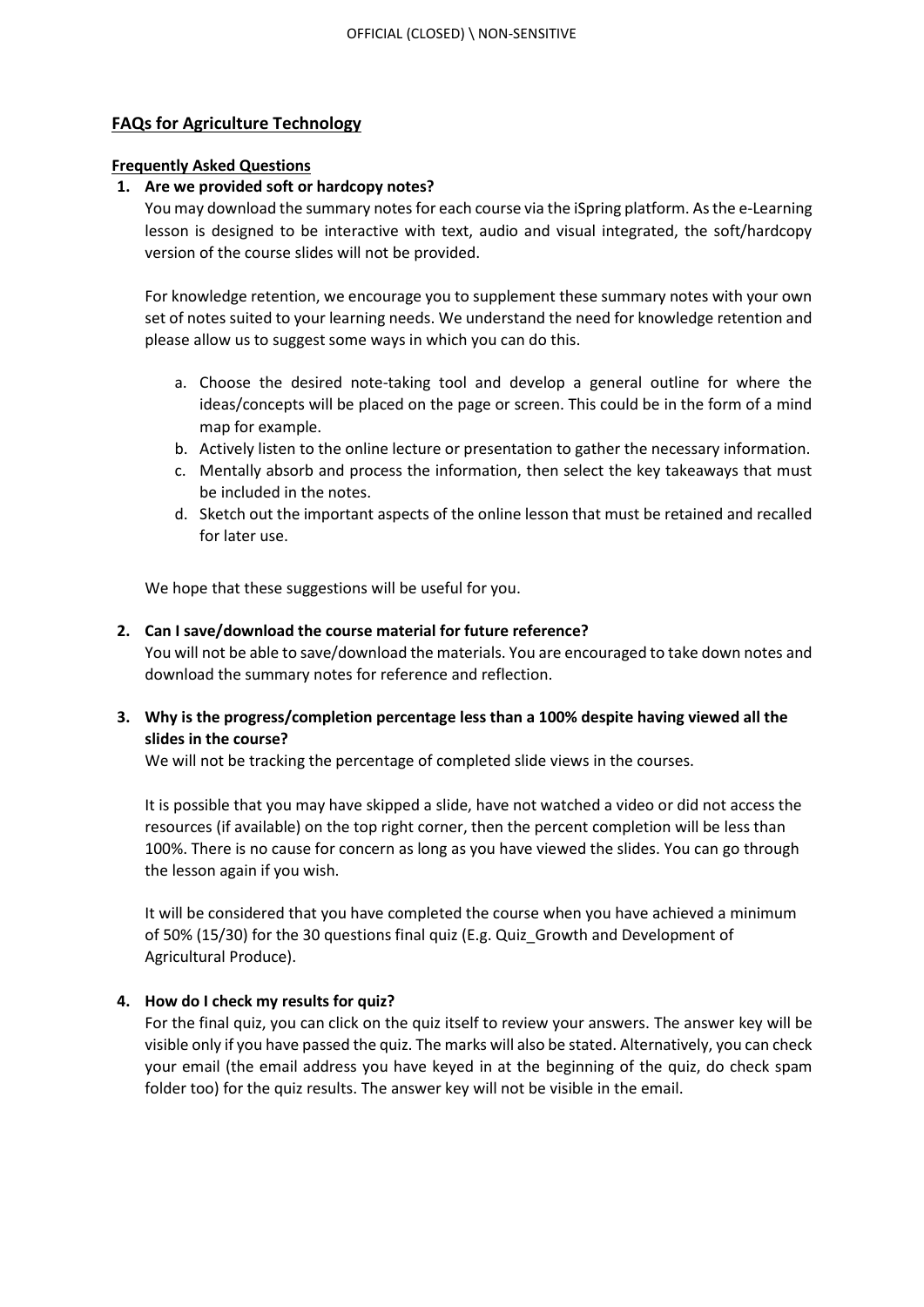# **FAQs for Agriculture Technology**

#### **Frequently Asked Questions**

## **1. Are we provided soft or hardcopy notes?**

You may download the summary notes for each course via the iSpring platform. As the e-Learning lesson is designed to be interactive with text, audio and visual integrated, the soft/hardcopy version of the course slides will not be provided.

For knowledge retention, we encourage you to supplement these summary notes with your own set of notes suited to your learning needs. We understand the need for knowledge retention and please allow us to suggest some ways in which you can do this.

- a. Choose the desired note-taking tool and develop a general outline for where the ideas/concepts will be placed on the page or screen. This could be in the form of a mind map for example.
- b. Actively listen to the online lecture or presentation to gather the necessary information.
- c. Mentally absorb and process the information, then select the key takeaways that must be included in the notes.
- d. Sketch out the important aspects of the online lesson that must be retained and recalled for later use.

We hope that these suggestions will be useful for you.

#### **2. Can I save/download the course material for future reference?**

You will not be able to save/download the materials. You are encouraged to take down notes and download the summary notes for reference and reflection.

# **3. Why is the progress/completion percentage less than a 100% despite having viewed all the slides in the course?**

We will not be tracking the percentage of completed slide views in the courses.

It is possible that you may have skipped a slide, have not watched a video or did not access the resources (if available) on the top right corner, then the percent completion will be less than 100%. There is no cause for concern as long as you have viewed the slides. You can go through the lesson again if you wish.

It will be considered that you have completed the course when you have achieved a minimum of 50% (15/30) for the 30 questions final quiz (E.g. Quiz\_Growth and Development of Agricultural Produce).

## **4. How do I check my results for quiz?**

For the final quiz, you can click on the quiz itself to review your answers. The answer key will be visible only if you have passed the quiz. The marks will also be stated. Alternatively, you can check your email (the email address you have keyed in at the beginning of the quiz, do check spam folder too) for the quiz results. The answer key will not be visible in the email.